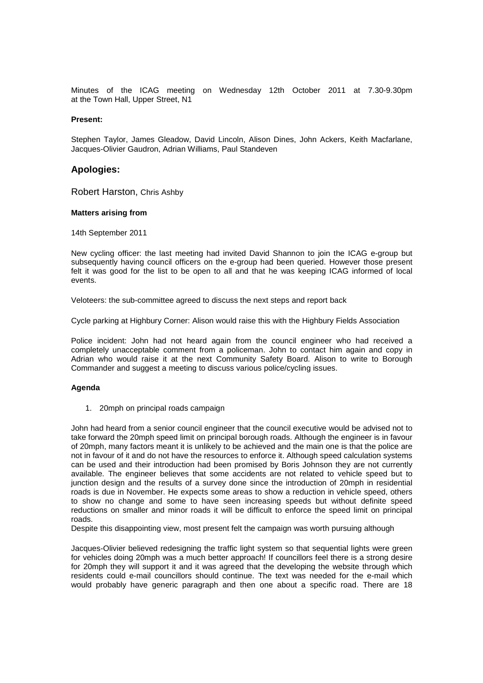Minutes of the ICAG meeting on Wednesday 12th October 2011 at 7.30-9.30pm at the Town Hall, Upper Street, N1

### **Present:**

Stephen Taylor, James Gleadow, David Lincoln, Alison Dines, John Ackers, Keith Macfarlane, Jacques-Olivier Gaudron, Adrian Williams, Paul Standeven

# **Apologies:**

Robert Harston, Chris Ashby

#### **Matters arising from**

14th September 2011

New cycling officer: the last meeting had invited David Shannon to join the ICAG e-group but subsequently having council officers on the e-group had been queried. However those present felt it was good for the list to be open to all and that he was keeping ICAG informed of local events.

Veloteers: the sub-committee agreed to discuss the next steps and report back

Cycle parking at Highbury Corner: Alison would raise this with the Highbury Fields Association

Police incident: John had not heard again from the council engineer who had received a completely unacceptable comment from a policeman. John to contact him again and copy in Adrian who would raise it at the next Community Safety Board. Alison to write to Borough Commander and suggest a meeting to discuss various police/cycling issues.

## **Agenda**

1. 20mph on principal roads campaign

John had heard from a senior council engineer that the council executive would be advised not to take forward the 20mph speed limit on principal borough roads. Although the engineer is in favour of 20mph, many factors meant it is unlikely to be achieved and the main one is that the police are not in favour of it and do not have the resources to enforce it. Although speed calculation systems can be used and their introduction had been promised by Boris Johnson they are not currently available. The engineer believes that some accidents are not related to vehicle speed but to junction design and the results of a survey done since the introduction of 20mph in residential roads is due in November. He expects some areas to show a reduction in vehicle speed, others to show no change and some to have seen increasing speeds but without definite speed reductions on smaller and minor roads it will be difficult to enforce the speed limit on principal roads.

Despite this disappointing view, most present felt the campaign was worth pursuing although

Jacques-Olivier believed redesigning the traffic light system so that sequential lights were green for vehicles doing 20mph was a much better approach! If councillors feel there is a strong desire for 20mph they will support it and it was agreed that the developing the website through which residents could e-mail councillors should continue. The text was needed for the e-mail which would probably have generic paragraph and then one about a specific road. There are 18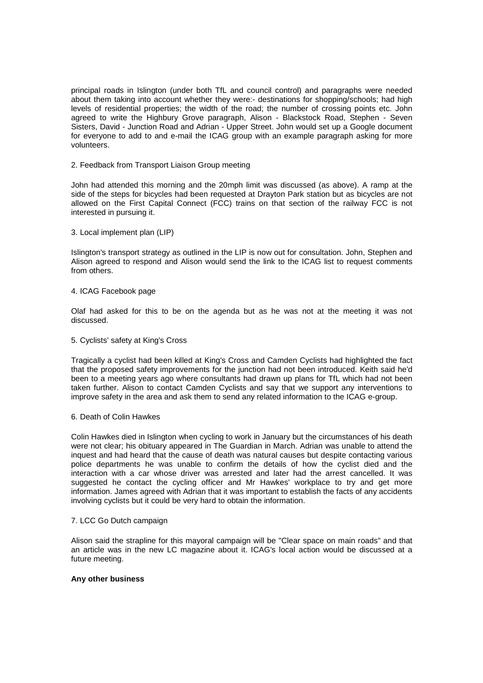principal roads in Islington (under both TfL and council control) and paragraphs were needed about them taking into account whether they were:- destinations for shopping/schools; had high levels of residential properties; the width of the road; the number of crossing points etc. John agreed to write the Highbury Grove paragraph, Alison - Blackstock Road, Stephen - Seven Sisters, David - Junction Road and Adrian - Upper Street. John would set up a Google document for everyone to add to and e-mail the ICAG group with an example paragraph asking for more volunteers.

#### 2. Feedback from Transport Liaison Group meeting

John had attended this morning and the 20mph limit was discussed (as above). A ramp at the side of the steps for bicycles had been requested at Drayton Park station but as bicycles are not allowed on the First Capital Connect (FCC) trains on that section of the railway FCC is not interested in pursuing it.

### 3. Local implement plan (LIP)

Islington's transport strategy as outlined in the LIP is now out for consultation. John, Stephen and Alison agreed to respond and Alison would send the link to the ICAG list to request comments from others.

#### 4. ICAG Facebook page

Olaf had asked for this to be on the agenda but as he was not at the meeting it was not discussed.

### 5. Cyclists' safety at King's Cross

Tragically a cyclist had been killed at King's Cross and Camden Cyclists had highlighted the fact that the proposed safety improvements for the junction had not been introduced. Keith said he'd been to a meeting years ago where consultants had drawn up plans for TfL which had not been taken further. Alison to contact Camden Cyclists and say that we support any interventions to improve safety in the area and ask them to send any related information to the ICAG e-group.

#### 6. Death of Colin Hawkes

Colin Hawkes died in Islington when cycling to work in January but the circumstances of his death were not clear; his obituary appeared in The Guardian in March. Adrian was unable to attend the inquest and had heard that the cause of death was natural causes but despite contacting various police departments he was unable to confirm the details of how the cyclist died and the interaction with a car whose driver was arrested and later had the arrest cancelled. It was suggested he contact the cycling officer and Mr Hawkes' workplace to try and get more information. James agreed with Adrian that it was important to establish the facts of any accidents involving cyclists but it could be very hard to obtain the information.

## 7. LCC Go Dutch campaign

Alison said the strapline for this mayoral campaign will be "Clear space on main roads" and that an article was in the new LC magazine about it. ICAG's local action would be discussed at a future meeting.

## **Any other business**